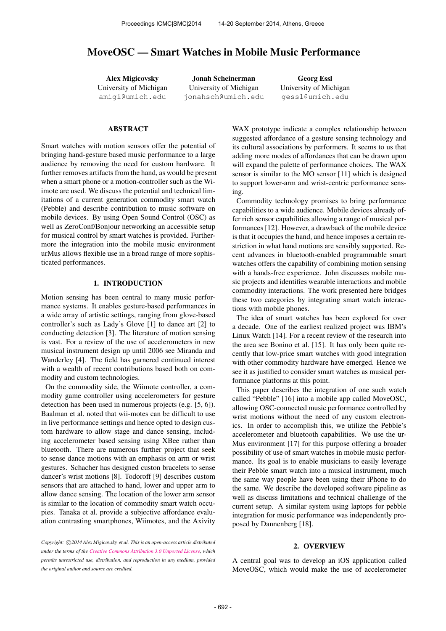# MoveOSC — Smart Watches in Mobile Music Performance

Alex Migicovsky University of Michigan [amigi@umich.edu](mailto:amigi@umich.edu)

Jonah Scheinerman University of Michigan [jonahsch@umich.edu](mailto:jonahsch@umich.edu)

Georg Essl University of Michigan [gessl@umich.edu](mailto:gessl@umich.edu)

# **ABSTRACT**

Smart watches with motion sensors offer the potential of bringing hand-gesture based music performance to a large audience by removing the need for custom hardware. It further removes artifacts from the hand, as would be present when a smart phone or a motion-controller such as the Wiimote are used. We discuss the potential and technical limitations of a current generation commodity smart watch (Pebble) and describe contribution to music software on mobile devices. By using Open Sound Control (OSC) as well as ZeroConf/Bonjour networking an accessible setup for musical control by smart watches is provided. Furthermore the integration into the mobile music environment urMus allows flexible use in a broad range of more sophisticated performances.

### 1. INTRODUCTION

Motion sensing has been central to many music performance systems. It enables gesture-based performances in a wide array of artistic settings, ranging from glove-based controller's such as Lady's Glove [1] to dance art [2] to conducting detection [3]. The literature of motion sensing is vast. For a review of the use of accelerometers in new musical instrument design up until 2006 see Miranda and Wanderley [4]. The field has garnered continued interest with a wealth of recent contributions based both on commodity and custom technologies.

On the commodity side, the Wiimote controller, a commodity game controller using accelerometers for gesture detection has been used in numerous projects (e.g. [5, 6]). Baalman et al. noted that wii-motes can be difficult to use in live performance settings and hence opted to design custom hardware to allow stage and dance sensing, including accelerometer based sensing using XBee rather than bluetooth. There are numerous further project that seek to sense dance motions with an emphasis on arm or wrist gestures. Schacher has designed custon bracelets to sense dancer's wrist motions [8]. Todoroff [9] describes custom sensors that are attached to hand, lower and upper arm to allow dance sensing. The location of the lower arm sensor is similar to the location of commodity smart watch occupies. Tanaka et al. provide a subjective affordance evaluation contrasting smartphones, Wiimotes, and the Axivity

Copyright:  $\bigcirc$ 2014 Alex Migicovsky et al. This is an open-access article distributed *under the terms of the [Creative Commons Attribution 3.0 Unported License,](http://creativecommons.org/licenses/by/3.0/) which permits unrestricted use, distribution, and reproduction in any medium, provided the original author and source are credited.*

WAX prototype indicate a complex relationship between suggested affordance of a gesture sensing technology and its cultural associations by performers. It seems to us that adding more modes of affordances that can be drawn upon will expand the palette of performance choices. The WAX sensor is similar to the MO sensor [11] which is designed to support lower-arm and wrist-centric performance sensing.

Commodity technology promises to bring performance capabilities to a wide audience. Mobile devices already offer rich sensor capabilities allowing a range of musical performances [12]. However, a drawback of the mobile device is that it occupies the hand, and hence imposes a certain restriction in what hand motions are sensibly supported. Recent advances in bluetooth-enabled programmable smart watches offers the capability of combining motion sensing with a hands-free experience. John discusses mobile music projects and identifies wearable interactions and mobile commodity interactions. The work presented here bridges these two categories by integrating smart watch interactions with mobile phones.

The idea of smart watches has been explored for over a decade. One of the earliest realized project was IBM's Linux Watch [14]. For a recent review of the research into the area see Bonino et al. [15]. It has only been quite recently that low-price smart watches with good integration with other commodity hardware have emerged. Hence we see it as justified to consider smart watches as musical performance platforms at this point.

This paper describes the integration of one such watch called "Pebble" [16] into a mobile app called MoveOSC, allowing OSC-connected music performance controlled by wrist motions without the need of any custom electronics. In order to accomplish this, we utilize the Pebble's accelerometer and bluetooth capabilities. We use the ur-Mus environment [17] for this purpose offering a broader possibility of use of smart watches in mobile music performance. Its goal is to enable musicians to easily leverage their Pebble smart watch into a musical instrument, much the same way people have been using their iPhone to do the same. We describe the developed software pipeline as well as discuss limitations and technical challenge of the current setup. A similar system using laptops for pebble integration for music performance was independently proposed by Dannenberg [18].

### 2. OVERVIEW

A central goal was to develop an iOS application called MoveOSC, which would make the use of accelerometer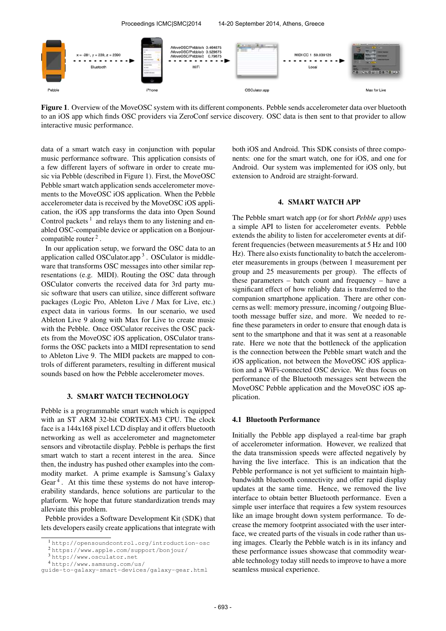Proceedings ICMC|SMC|2014 14-20 September 2014, Athens, Greece MoveOSC/Pebble/x 0.464875 MoveOSC/Pebble/y 0.529875  $-281, y$  $= 239, z = 2390$ MIDI CC 1 59.039125 **Diusteeth** WiFi Local 1 1979 1-1 1-1 1-1 1-1 1-1

Pebbl

OSCulator.app

Max for Live

Figure 1. Overview of the MoveOSC system with its different components. Pebble sends accelerometer data over bluetooth to an iOS app which finds OSC providers via ZeroConf service discovery. OSC data is then sent to that provider to allow interactive music performance.

data of a smart watch easy in conjunction with popular music performance software. This application consists of a few different layers of software in order to create music via Pebble (described in Figure 1). First, the MoveOSC Pebble smart watch application sends accelerometer movements to the MoveOSC iOS application. When the Pebble accelerometer data is received by the MoveOSC iOS application, the iOS app transforms the data into Open Sound Control packets<sup>1</sup> and relays them to any listening and enabled OSC-compatible device or application on a Bonjourcompatible router<sup>2</sup>.

In our application setup, we forward the OSC data to an application called OSCulator.app<sup>3</sup>. OSCulator is middleware that transforms OSC messages into other similar representations (e.g. MIDI). Routing the OSC data through OSCulator converts the received data for 3rd party music software that users can utilize, since different software packages (Logic Pro, Ableton Live / Max for Live, etc.) expect data in various forms. In our scenario, we used Ableton Live 9 along with Max for Live to create music with the Pebble. Once OSCulator receives the OSC packets from the MoveOSC iOS application, OSCulator transforms the OSC packets into a MIDI representation to send to Ableton Live 9. The MIDI packets are mapped to controls of different parameters, resulting in different musical sounds based on how the Pebble accelerometer moves.

### 3. SMART WATCH TECHNOLOGY

Pebble is a programmable smart watch which is equipped with an ST ARM 32-bit CORTEX-M3 CPU. The clock face is a 144x168 pixel LCD display and it offers bluetooth networking as well as accelerometer and magnetometer sensors and vibrotactile display. Pebble is perhaps the first smart watch to start a recent interest in the area. Since then, the industry has pushed other examples into the commodity market. A prime example is Samsung's Galaxy Gear<sup>4</sup>. At this time these systems do not have interoperability standards, hence solutions are particular to the platform. We hope that future standardization trends may alleviate this problem.

Pebble provides a Software Development Kit (SDK) that lets developers easily create applications that integrate with

<sup>2</sup> <https://www.apple.com/support/bonjour/>

both iOS and Android. This SDK consists of three components: one for the smart watch, one for iOS, and one for Android. Our system was implemented for iOS only, but extension to Android are straight-forward.

### 4. SMART WATCH APP

The Pebble smart watch app (or for short *Pebble app*) uses a simple API to listen for accelerometer events. Pebble extends the ability to listen for accelerometer events at different frequencies (between measurements at 5 Hz and 100 Hz). There also exists functionality to batch the accelerometer measurements in groups (between 1 measurement per group and 25 measurements per group). The effects of these parameters – batch count and frequency – have a significant effect of how reliably data is transferred to the companion smartphone application. There are other concerns as well: memory pressure, incoming / outgoing Bluetooth message buffer size, and more. We needed to refine these parameters in order to ensure that enough data is sent to the smartphone and that it was sent at a reasonable rate. Here we note that the bottleneck of the application is the connection between the Pebble smart watch and the iOS application, not between the MoveOSC iOS application and a WiFi-connected OSC device. We thus focus on performance of the Bluetooth messages sent between the MoveOSC Pebble application and the MoveOSC iOS application.

### 4.1 Bluetooth Performance

Initially the Pebble app displayed a real-time bar graph of accelerometer information. However, we realized that the data transmission speeds were affected negatively by having the live interface. This is an indication that the Pebble performance is not yet sufficient to maintain highbandwidth bluetooth connectivity and offer rapid display updates at the same time. Hence, we removed the live interface to obtain better Bluetooth performance. Even a simple user interface that requires a few system resources like an image brought down system performance. To decrease the memory footprint associated with the user interface, we created parts of the visuals in code rather than using images. Clearly the Pebble watch is in its infancy and these performance issues showcase that commodity wearable technology today still needs to improve to have a more seamless musical experience.

<sup>1</sup> <http://opensoundcontrol.org/introduction-osc>

<sup>3</sup> <http://www.osculator.net>

<sup>4</sup> [http://www.samsung.com/us/](http://www.samsung.com/us/guide-to-galaxy-smart-devices/galaxy-gear.html)

[guide-to-galaxy-smart-devices/galaxy-gear.html](http://www.samsung.com/us/guide-to-galaxy-smart-devices/galaxy-gear.html)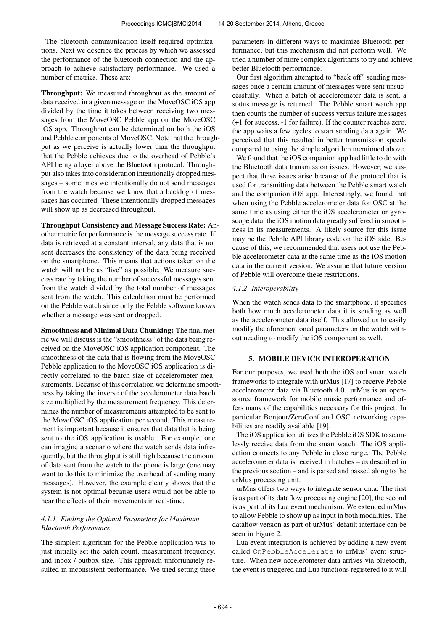The bluetooth communication itself required optimizations. Next we describe the process by which we assessed the performance of the bluetooth connection and the approach to achieve satisfactory performance. We used a number of metrics. These are:

Throughput: We measured throughput as the amount of data received in a given message on the MoveOSC iOS app divided by the time it takes between receiving two messages from the MoveOSC Pebble app on the MoveOSC iOS app. Throughput can be determined on both the iOS and Pebble components of MoveOSC. Note that the throughput as we perceive is actually lower than the throughput that the Pebble achieves due to the overhead of Pebble's API being a layer above the Bluetooth protocol. Throughput also takes into consideration intentionally dropped messages – sometimes we intentionally do not send messages from the watch because we know that a backlog of messages has occurred. These intentionally dropped messages will show up as decreased throughput.

Throughput Consistency and Message Success Rate: Another metric for performance is the message success rate. If data is retrieved at a constant interval, any data that is not sent decreases the consistency of the data being received on the smartphone. This means that actions taken on the watch will not be as "live" as possible. We measure success rate by taking the number of successful messages sent from the watch divided by the total number of messages sent from the watch. This calculation must be performed on the Pebble watch since only the Pebble software knows whether a message was sent or dropped.

Smoothness and Minimal Data Chunking: The final metric we will discuss is the "smoothness" of the data being received on the MoveOSC iOS application component. The smoothness of the data that is flowing from the MoveOSC Pebble application to the MoveOSC iOS application is directly correlated to the batch size of accelerometer measurements. Because of this correlation we determine smoothness by taking the inverse of the accelerometer data batch size multiplied by the measurement frequency. This determines the number of measurements attempted to be sent to the MoveOSC iOS application per second. This measurement is important because it ensures that data that is being sent to the iOS application is usable. For example, one can imagine a scenario where the watch sends data infrequently, but the throughput is still high because the amount of data sent from the watch to the phone is large (one may want to do this to minimize the overhead of sending many messages). However, the example clearly shows that the system is not optimal because users would not be able to hear the effects of their movements in real-time.

# *4.1.1 Finding the Optimal Parameters for Maximum Bluetooth Performance*

The simplest algorithm for the Pebble application was to just initially set the batch count, measurement frequency, and inbox / outbox size. This approach unfortunately resulted in inconsistent performance. We tried setting these parameters in different ways to maximize Bluetooth performance, but this mechanism did not perform well. We tried a number of more complex algorithms to try and achieve better Bluetooth performance.

Our first algorithm attempted to "back off" sending messages once a certain amount of messages were sent unsuccessfully. When a batch of accelerometer data is sent, a status message is returned. The Pebble smart watch app then counts the number of success versus failure messages (+1 for success, -1 for failure). If the counter reaches zero, the app waits a few cycles to start sending data again. We perceived that this resulted in better transmission speeds compared to using the simple algorithm mentioned above.

We found that the iOS companion app had little to do with the Bluetooth data transmission issues. However, we suspect that these issues arise because of the protocol that is used for transmitting data between the Pebble smart watch and the companion iOS app. Interestingly, we found that when using the Pebble accelerometer data for OSC at the same time as using either the iOS accelerometer or gyroscope data, the iOS motion data greatly suffered in smoothness in its measurements. A likely source for this issue may be the Pebble API library code on the iOS side. Because of this, we recommended that users not use the Pebble accelerometer data at the same time as the iOS motion data in the current version. We assume that future version of Pebble will overcome these restrictions.

# *4.1.2 Interoperability*

When the watch sends data to the smartphone, it specifies both how much accelerometer data it is sending as well as the accelerometer data itself. This allowed us to easily modify the aforementioned parameters on the watch without needing to modify the iOS component as well.

### 5. MOBILE DEVICE INTEROPERATION

For our purposes, we used both the iOS and smart watch frameworks to integrate with urMus [17] to receive Pebble accelerometer data via Bluetooth 4.0. urMus is an opensource framework for mobile music performance and offers many of the capabilities necessary for this project. In particular Bonjour/ZeroConf and OSC networking capabilities are readily available [19].

The iOS application utilizes the Pebble iOS SDK to seamlessly receive data from the smart watch. The iOS application connects to any Pebble in close range. The Pebble accelerometer data is received in batches – as described in the previous section – and is parsed and passed along to the urMus processing unit.

urMus offers two ways to integrate sensor data. The first is as part of its dataflow processing engine [20], the second is as part of its Lua event mechanism. We extended urMus to allow Pebble to show up as input in both modalities. The dataflow version as part of urMus' default interface can be seen in Figure 2.

Lua event integration is achieved by adding a new event called OnPebbleAccelerate to urMus' event structure. When new accelerometer data arrives via bluetooth, the event is triggered and Lua functions registered to it will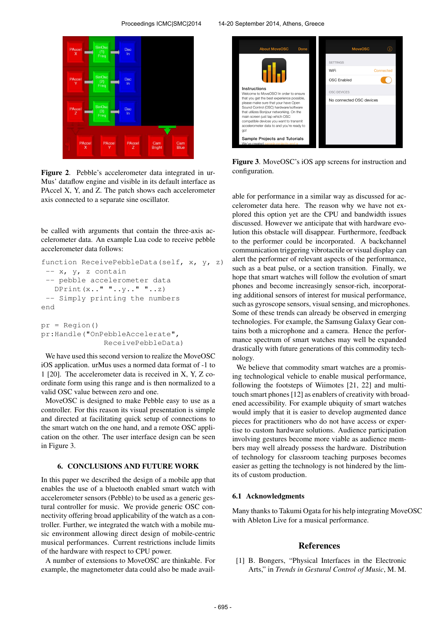

Figure 2. Pebble's accelerometer data integrated in ur-Mus' dataflow engine and visible in its default interface as PAccel X, Y, and Z. The patch shows each accelerometer axis connected to a separate sine oscillator.

be called with arguments that contain the three-axis accelerometer data. An example Lua code to receive pebble accelerometer data follows:

```
function ReceivePebbleData(self, x, y, z)
 -- x, y, z contain
 -- pebble accelerometer data
   DPrint(x_1, " " ... y_1, " " ... z)-- Simply printing the numbers
end
pr = Region()
```
pr:Handle("OnPebbleAccelerate", ReceivePebbleData)

We have used this second version to realize the MoveOSC iOS application. urMus uses a normed data format of -1 to 1 [20]. The accelerometer data is received in X, Y, Z coordinate form using this range and is then normalized to a valid OSC value between zero and one.

MoveOSC is designed to make Pebble easy to use as a controller. For this reason its visual presentation is simple and directed at facilitating quick setup of connections to the smart watch on the one hand, and a remote OSC application on the other. The user interface design can be seen in Figure 3.

### 6. CONCLUSIONS AND FUTURE WORK

In this paper we described the design of a mobile app that enables the use of a bluetooth enabled smart watch with accelerometer sensors (Pebble) to be used as a generic gestural controller for music. We provide generic OSC connectivity offering broad applicability of the watch as a controller. Further, we integrated the watch with a mobile music environment allowing direct design of mobile-centric musical performances. Current restrictions include limits of the hardware with respect to CPU power.

A number of extensions to MoveOSC are thinkable. For example, the magnetometer data could also be made avail-



Figure 3. MoveOSC's iOS app screens for instruction and configuration.

able for performance in a similar way as discussed for accelerometer data here. The reason why we have not explored this option yet are the CPU and bandwidth issues discussed. However we anticipate that with hardware evolution this obstacle will disappear. Furthermore, feedback to the performer could be incorporated. A backchannel communication triggering vibrotactile or visual display can alert the performer of relevant aspects of the performance, such as a beat pulse, or a section transition. Finally, we hope that smart watches will follow the evolution of smart phones and become increasingly sensor-rich, incorporating additional sensors of interest for musical performance, such as gyroscope sensors, visual sensing, and microphones. Some of these trends can already be observed in emerging technologies. For example, the Samsung Galaxy Gear contains both a microphone and a camera. Hence the performance spectrum of smart watches may well be expanded drastically with future generations of this commodity technology.

We believe that commodity smart watches are a promising technological vehicle to enable musical performance, following the footsteps of Wiimotes [21, 22] and multitouch smart phones [12] as enablers of creativity with broadened accessibility. For example ubiquity of smart watches would imply that it is easier to develop augmented dance pieces for practitioners who do not have access or expertise to custom hardware solutions. Audience participation involving gestures become more viable as audience members may well already possess the hardware. Distribution of technology for classroom teaching purposes becomes easier as getting the technology is not hindered by the limits of custom production.

### 6.1 Acknowledgments

Many thanks to Takumi Ogata for his help integrating MoveOSC with Ableton Live for a musical performance.

### **References**

[1] B. Bongers, "Physical Interfaces in the Electronic Arts," in *Trends in Gestural Control of Music*, M. M.